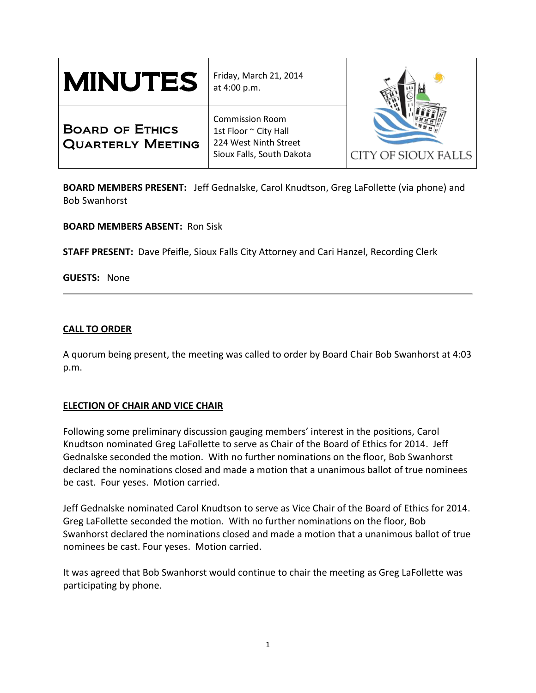| <b>MINUTES</b>                                     | Friday, March 21, 2014<br>at 4:00 p.m.                                                                |                            |
|----------------------------------------------------|-------------------------------------------------------------------------------------------------------|----------------------------|
| <b>BOARD OF ETHICS</b><br><b>QUARTERLY MEETING</b> | <b>Commission Room</b><br>1st Floor ~ City Hall<br>224 West Ninth Street<br>Sioux Falls, South Dakota | <b>CITY OF SIOUX FALLS</b> |

**BOARD MEMBERS PRESENT:** Jeff Gednalske, Carol Knudtson, Greg LaFollette (via phone) and Bob Swanhorst

**BOARD MEMBERS ABSENT:** Ron Sisk

**STAFF PRESENT:** Dave Pfeifle, Sioux Falls City Attorney and Cari Hanzel, Recording Clerk

**GUESTS:** None

# **CALL TO ORDER**

A quorum being present, the meeting was called to order by Board Chair Bob Swanhorst at 4:03 p.m.

# **ELECTION OF CHAIR AND VICE CHAIR**

Following some preliminary discussion gauging members' interest in the positions, Carol Knudtson nominated Greg LaFollette to serve as Chair of the Board of Ethics for 2014. Jeff Gednalske seconded the motion. With no further nominations on the floor, Bob Swanhorst declared the nominations closed and made a motion that a unanimous ballot of true nominees be cast. Four yeses. Motion carried.

Jeff Gednalske nominated Carol Knudtson to serve as Vice Chair of the Board of Ethics for 2014. Greg LaFollette seconded the motion. With no further nominations on the floor, Bob Swanhorst declared the nominations closed and made a motion that a unanimous ballot of true nominees be cast. Four yeses. Motion carried.

It was agreed that Bob Swanhorst would continue to chair the meeting as Greg LaFollette was participating by phone.